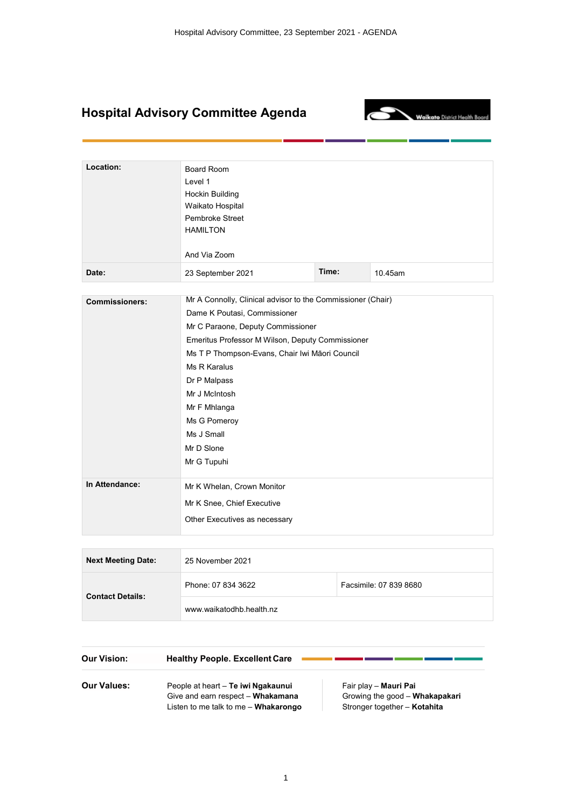# **Hospital Advisory Committee Agenda**



a.

n.

| Location:             | Board Room<br>Level 1<br><b>Hockin Building</b><br>Waikato Hospital<br>Pembroke Street<br><b>HAMILTON</b><br>And Via Zoom |       |         |  |
|-----------------------|---------------------------------------------------------------------------------------------------------------------------|-------|---------|--|
| Date:                 | 23 September 2021                                                                                                         | Time: | 10.45am |  |
|                       |                                                                                                                           |       |         |  |
| <b>Commissioners:</b> | Mr A Connolly, Clinical advisor to the Commissioner (Chair)                                                               |       |         |  |
|                       | Dame K Poutasi, Commissioner                                                                                              |       |         |  |
|                       | Mr C Paraone, Deputy Commissioner                                                                                         |       |         |  |
|                       | Emeritus Professor M Wilson, Deputy Commissioner                                                                          |       |         |  |
|                       | Ms T P Thompson-Evans, Chair Iwi Māori Council<br>Ms R Karalus                                                            |       |         |  |
|                       | Dr P Malpass                                                                                                              |       |         |  |
|                       | Mr J McIntosh                                                                                                             |       |         |  |
|                       | Mr F Mhlanga                                                                                                              |       |         |  |
|                       | Ms G Pomeroy                                                                                                              |       |         |  |
|                       | Ms J Small                                                                                                                |       |         |  |
|                       | Mr D Slone                                                                                                                |       |         |  |
|                       | Mr G Tupuhi                                                                                                               |       |         |  |
| In Attendance:        | Mr K Whelan, Crown Monitor                                                                                                |       |         |  |
|                       | Mr K Snee, Chief Executive                                                                                                |       |         |  |
|                       | Other Executives as necessary                                                                                             |       |         |  |
|                       |                                                                                                                           |       |         |  |

| <b>Next Meeting Date:</b> | 25 November 2021         |                        |
|---------------------------|--------------------------|------------------------|
|                           | Phone: 07 834 3622       | Facsimile: 07 839 8680 |
| <b>Contact Details:</b>   | www.waikatodhb.health.nz |                        |

| <b>Our Vision:</b> | <b>Healthy People. Excellent Care</b>                                                                           |                                                                                         |
|--------------------|-----------------------------------------------------------------------------------------------------------------|-----------------------------------------------------------------------------------------|
| <b>Our Values:</b> | People at heart - Te iwi Ngakaunui<br>Give and earn respect - Whakamana<br>Listen to me talk to me - Whakarongo | Fair play - Mauri Pai<br>Growing the good - Whakapakari<br>Stronger together - Kotahita |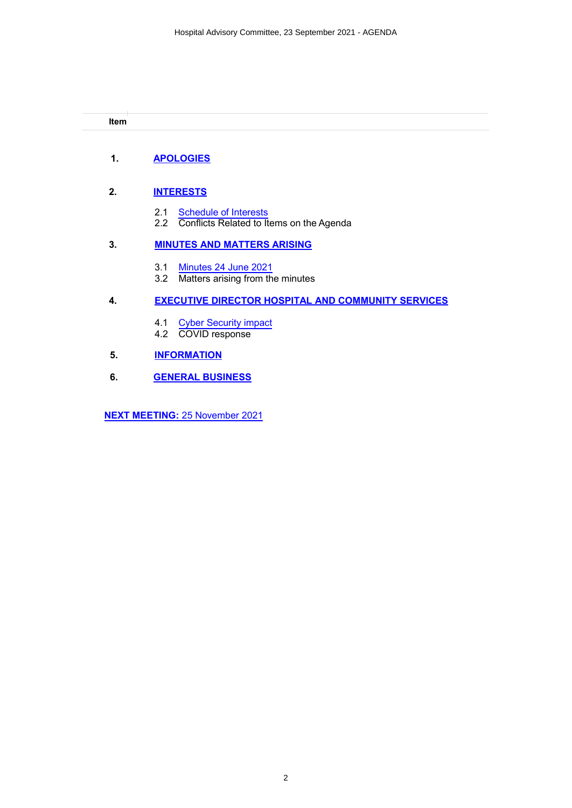**Item**

# **1. [APOLOGIES](#page-2-0)**

# **2. [INTERESTS](#page-3-0)**

- 2.1 [Schedule of](#page-4-0) Interests
- 2.2 Conflicts Related to Items on the Agenda

# **3. [MINUTES AND MATTERS](#page-10-0) ARISING**

- 3.1 Minutes [24 June 2021](#page-11-0)
- 3.2 Matters arising from the minutes

# **4. [EXECUTIVE DIRECTOR HOSPITAL AND COMMUNITY SERVICES](#page-14-0)**

- 4.1 [Cyber Security impact](#page-15-0)
- 4.2 COVID response

# **5. [INFORMATION](#page-19-0)**

**6. GENERAL [BUSINESS](#page-20-0)**

**[NEXT MEETING:](#page-21-0)** 25 November 2021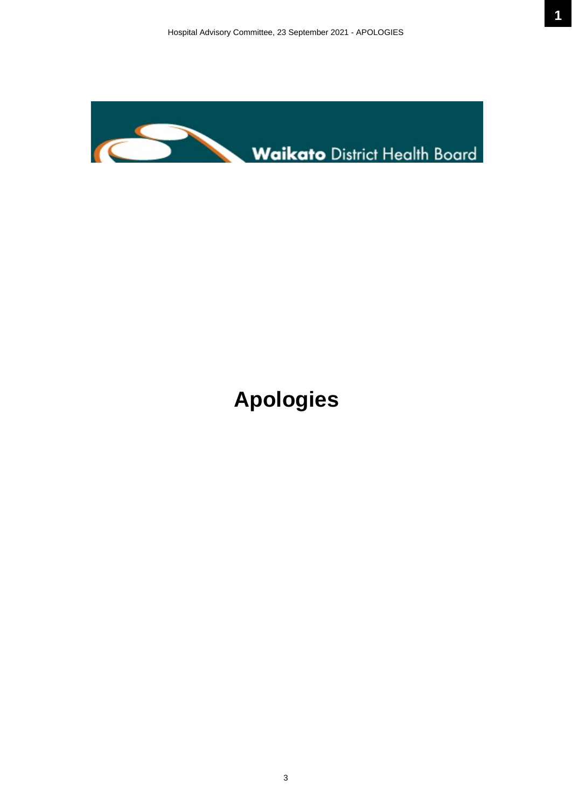<span id="page-2-0"></span>

# **Apologies**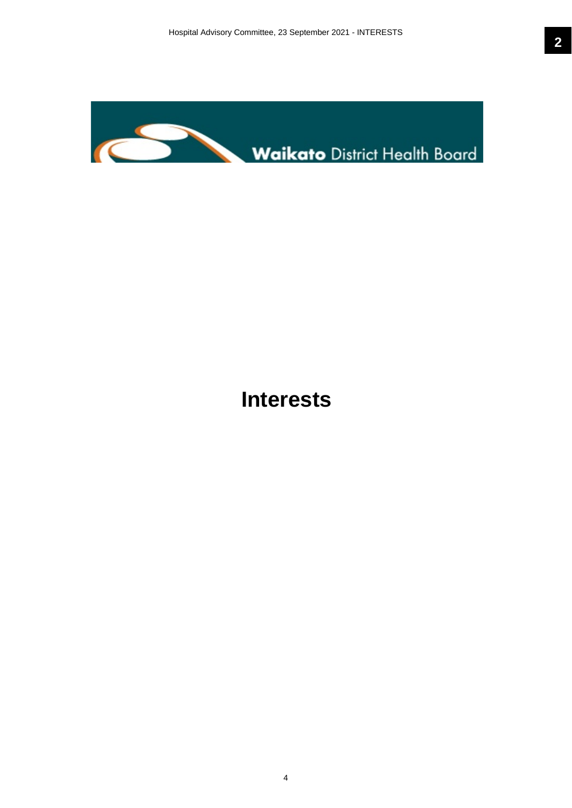<span id="page-3-0"></span>

# **Interests**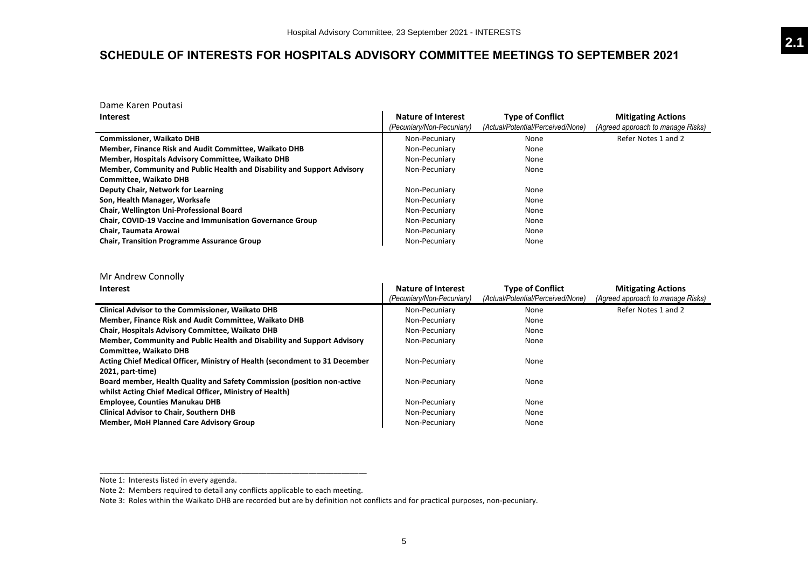# <span id="page-4-0"></span>**SCHEDULE OF INTERESTS FOR HOSPITALS ADVISORY COMMITTEE MEETINGS TO SEPTEMBER 2021**

Dame Karen Poutasi

| <b>Interest</b>                                                         | <b>Nature of Interest</b> | <b>Type of Conflict</b>           | <b>Mitigating Actions</b>         |
|-------------------------------------------------------------------------|---------------------------|-----------------------------------|-----------------------------------|
|                                                                         | (Pecuniary/Non-Pecuniary) | (Actual/Potential/Perceived/None) | (Agreed approach to manage Risks) |
| <b>Commissioner, Waikato DHB</b>                                        | Non-Pecuniary             | None                              | Refer Notes 1 and 2               |
| Member, Finance Risk and Audit Committee, Waikato DHB                   | Non-Pecuniary             | None                              |                                   |
| Member, Hospitals Advisory Committee, Waikato DHB                       | Non-Pecuniary             | None                              |                                   |
| Member, Community and Public Health and Disability and Support Advisory | Non-Pecuniary             | None                              |                                   |
| <b>Committee, Waikato DHB</b>                                           |                           |                                   |                                   |
| Deputy Chair, Network for Learning                                      | Non-Pecuniary             | None                              |                                   |
| Son, Health Manager, Worksafe                                           | Non-Pecuniary             | None                              |                                   |
| Chair, Wellington Uni-Professional Board                                | Non-Pecuniary             | None                              |                                   |
| <b>Chair, COVID-19 Vaccine and Immunisation Governance Group</b>        | Non-Pecuniary             | None                              |                                   |
| Chair, Taumata Arowai                                                   | Non-Pecuniary             | None                              |                                   |
| <b>Chair, Transition Programme Assurance Group</b>                      | Non-Pecuniary             | None                              |                                   |

Mr Andrew Connolly

| <b>Interest</b>                                                             | Nature of Interest<br>(Pecuniary/Non-Pecuniary) | <b>Type of Conflict</b><br>(Actual/Potential/Perceived/None) | <b>Mitigating Actions</b><br>(Agreed approach to manage Risks) |
|-----------------------------------------------------------------------------|-------------------------------------------------|--------------------------------------------------------------|----------------------------------------------------------------|
| <b>Clinical Advisor to the Commissioner, Waikato DHB</b>                    | Non-Pecuniary                                   | None                                                         | Refer Notes 1 and 2                                            |
| Member, Finance Risk and Audit Committee, Waikato DHB                       | Non-Pecuniary                                   | None                                                         |                                                                |
| Chair, Hospitals Advisory Committee, Waikato DHB                            | Non-Pecuniary                                   | None                                                         |                                                                |
| Member, Community and Public Health and Disability and Support Advisory     | Non-Pecuniary                                   | None                                                         |                                                                |
| <b>Committee. Waikato DHB</b>                                               |                                                 |                                                              |                                                                |
| Acting Chief Medical Officer, Ministry of Health (secondment to 31 December | Non-Pecuniary                                   | None                                                         |                                                                |
| 2021, part-time)                                                            |                                                 |                                                              |                                                                |
| Board member, Health Quality and Safety Commission (position non-active     | Non-Pecuniary                                   | None                                                         |                                                                |
| whilst Acting Chief Medical Officer, Ministry of Health)                    |                                                 |                                                              |                                                                |
| <b>Employee, Counties Manukau DHB</b>                                       | Non-Pecuniary                                   | None                                                         |                                                                |
| <b>Clinical Advisor to Chair, Southern DHB</b>                              | Non-Pecuniary                                   | None                                                         |                                                                |
| <b>Member, MoH Planned Care Advisory Group</b>                              | Non-Pecuniary                                   | None                                                         |                                                                |

Note 1: Interests listed in every agenda.

Note 2: Members required to detail any conflicts applicable to each meeting.

\_\_\_\_\_\_\_\_\_\_\_\_\_\_\_\_\_\_\_\_\_\_\_\_\_\_\_\_\_\_\_\_\_\_\_\_\_\_\_\_\_\_\_\_\_\_\_\_\_\_\_\_\_\_\_\_\_\_\_\_\_\_\_\_

Note 3: Roles within the Waikato DHB are recorded but are by definition not conflicts and for practical purposes, non-pecuniary.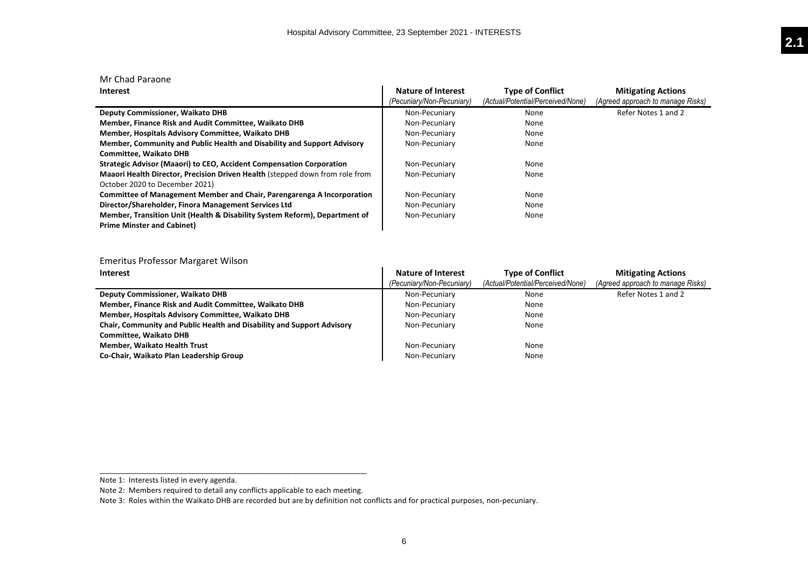| Mr Chad Paraone                                                              |                           |                                   |                                   |
|------------------------------------------------------------------------------|---------------------------|-----------------------------------|-----------------------------------|
| Interest                                                                     | <b>Nature of Interest</b> | <b>Type of Conflict</b>           | <b>Mitigating Actions</b>         |
|                                                                              | (Pecuniary/Non-Pecuniary) | (Actual/Potential/Perceived/None) | (Agreed approach to manage Risks) |
| <b>Deputy Commissioner, Waikato DHB</b>                                      | Non-Pecuniary             | None                              | Refer Notes 1 and 2               |
| Member, Finance Risk and Audit Committee, Waikato DHB                        | Non-Pecuniary             | None                              |                                   |
| Member, Hospitals Advisory Committee, Waikato DHB                            | Non-Pecuniary             | None                              |                                   |
| Member, Community and Public Health and Disability and Support Advisory      | Non-Pecuniary             | None                              |                                   |
| <b>Committee. Waikato DHB</b>                                                |                           |                                   |                                   |
| Strategic Advisor (Maaori) to CEO, Accident Compensation Corporation         | Non-Pecuniary             | None                              |                                   |
| Maaori Health Director, Precision Driven Health (stepped down from role from | Non-Pecuniary             | None                              |                                   |
| October 2020 to December 2021)                                               |                           |                                   |                                   |
| Committee of Management Member and Chair, Parengarenga A Incorporation       | Non-Pecuniary             | None                              |                                   |
| Director/Shareholder, Finora Management Services Ltd                         | Non-Pecuniary             | None                              |                                   |
| Member, Transition Unit (Health & Disability System Reform), Department of   | Non-Pecuniary             | None                              |                                   |
| <b>Prime Minster and Cabinet)</b>                                            |                           |                                   |                                   |

## Emeritus Professor Margaret Wilson

| <b>Interest</b>                                                        | <b>Nature of Interest</b><br>(Pecuniary/Non-Pecuniary) | <b>Type of Conflict</b><br>(Actual/Potential/Perceived/None) | <b>Mitigating Actions</b><br>(Agreed approach to manage Risks) |
|------------------------------------------------------------------------|--------------------------------------------------------|--------------------------------------------------------------|----------------------------------------------------------------|
| <b>Deputy Commissioner, Waikato DHB</b>                                | Non-Pecuniary                                          | None                                                         | Refer Notes 1 and 2                                            |
| Member, Finance Risk and Audit Committee, Waikato DHB                  | Non-Pecuniary                                          | None                                                         |                                                                |
| Member, Hospitals Advisory Committee, Waikato DHB                      | Non-Pecuniary                                          | None                                                         |                                                                |
| Chair, Community and Public Health and Disability and Support Advisory | Non-Pecuniary                                          | None                                                         |                                                                |
| <b>Committee, Waikato DHB</b>                                          |                                                        |                                                              |                                                                |
| <b>Member, Waikato Health Trust</b>                                    | Non-Pecuniary                                          | None                                                         |                                                                |
| Co-Chair, Waikato Plan Leadership Group                                | Non-Pecuniary                                          | None                                                         |                                                                |

\_\_\_\_\_\_\_\_\_\_\_\_\_\_\_\_\_\_\_\_\_\_\_\_\_\_\_\_\_\_\_\_\_\_\_\_\_\_\_\_\_\_\_\_\_\_\_\_\_\_\_\_\_\_\_\_\_\_\_\_\_\_\_\_

Note 1: Interests listed in every agenda.

Note 2: Members required to detail any conflicts applicable to each meeting.

Note 3: Roles within the Waikato DHB are recorded but are by definition not conflicts and for practical purposes, non-pecuniary.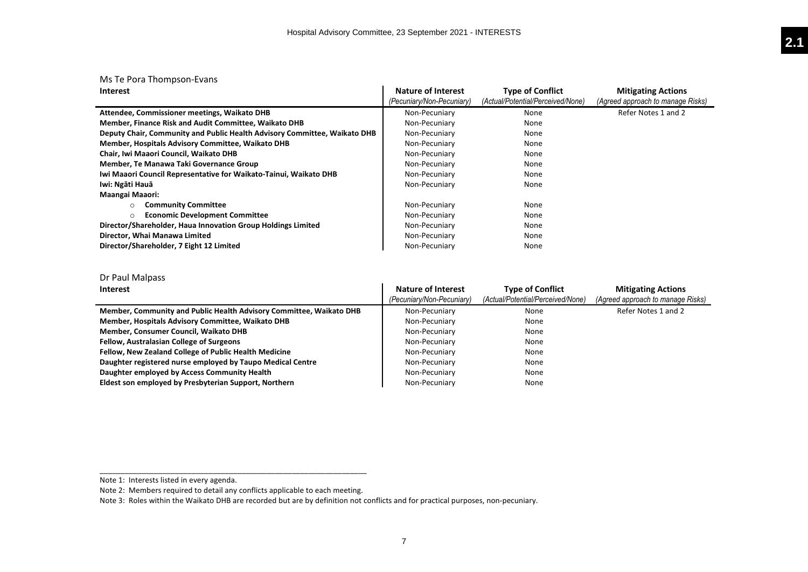# Ms Te Pora Thompson-Evans

| Interest                                                                  | Nature of Interest        | <b>Type of Conflict</b>           | <b>Mitigating Actions</b>         |
|---------------------------------------------------------------------------|---------------------------|-----------------------------------|-----------------------------------|
|                                                                           | (Pecuniary/Non-Pecuniary) | (Actual/Potential/Perceived/None) | (Agreed approach to manage Risks) |
| Attendee, Commissioner meetings, Waikato DHB                              | Non-Pecuniary             | None                              | Refer Notes 1 and 2               |
| Member, Finance Risk and Audit Committee, Waikato DHB                     | Non-Pecuniary             | None                              |                                   |
| Deputy Chair, Community and Public Health Advisory Committee, Waikato DHB | Non-Pecuniary             | None                              |                                   |
| Member, Hospitals Advisory Committee, Waikato DHB                         | Non-Pecuniary             | None                              |                                   |
| Chair, Iwi Maaori Council, Waikato DHB                                    | Non-Pecuniary             | None                              |                                   |
| Member, Te Manawa Taki Governance Group                                   | Non-Pecuniary             | None                              |                                   |
| Iwi Maaori Council Representative for Waikato-Tainui, Waikato DHB         | Non-Pecuniary             | None                              |                                   |
| Iwi: Ngāti Hauā                                                           | Non-Pecuniary             | None                              |                                   |
| <b>Maangai Maaori:</b>                                                    |                           |                                   |                                   |
| <b>Community Committee</b><br>$\circ$                                     | Non-Pecuniary             | None                              |                                   |
| <b>Economic Development Committee</b><br>O                                | Non-Pecuniary             | None                              |                                   |
| Director/Shareholder, Haua Innovation Group Holdings Limited              | Non-Pecuniary             | None                              |                                   |
| Director, Whai Manawa Limited                                             | Non-Pecuniary             | None                              |                                   |
| Director/Shareholder, 7 Eight 12 Limited                                  | Non-Pecuniary             | None                              |                                   |

# Dr Paul Malpass

| <b>Interest</b>                                                     | Nature of Interest<br>(Pecuniary/Non-Pecuniary) | <b>Type of Conflict</b><br>(Actual/Potential/Perceived/None) | <b>Mitigating Actions</b><br>(Agreed approach to manage Risks) |
|---------------------------------------------------------------------|-------------------------------------------------|--------------------------------------------------------------|----------------------------------------------------------------|
| Member, Community and Public Health Advisory Committee, Waikato DHB | Non-Pecuniary                                   | None                                                         | Refer Notes 1 and 2                                            |
| Member, Hospitals Advisory Committee, Waikato DHB                   | Non-Pecuniary                                   | None                                                         |                                                                |
| Member, Consumer Council, Waikato DHB                               | Non-Pecuniary                                   | None                                                         |                                                                |
| <b>Fellow, Australasian College of Surgeons</b>                     | Non-Pecuniary                                   | None                                                         |                                                                |
| Fellow, New Zealand College of Public Health Medicine               | Non-Pecuniary                                   | None                                                         |                                                                |
| Daughter registered nurse employed by Taupo Medical Centre          | Non-Pecuniary                                   | None                                                         |                                                                |
| Daughter employed by Access Community Health                        | Non-Pecuniary                                   | None                                                         |                                                                |
| Eldest son employed by Presbyterian Support, Northern               | Non-Pecuniary                                   | None                                                         |                                                                |

\_\_\_\_\_\_\_\_\_\_\_\_\_\_\_\_\_\_\_\_\_\_\_\_\_\_\_\_\_\_\_\_\_\_\_\_\_\_\_\_\_\_\_\_\_\_\_\_\_\_\_\_\_\_\_\_\_\_\_\_\_\_\_\_

Note 1: Interests listed in every agenda.

Note 2: Members required to detail any conflicts applicable to each meeting.

Note 3: Roles within the Waikato DHB are recorded but are by definition not conflicts and for practical purposes, non-pecuniary.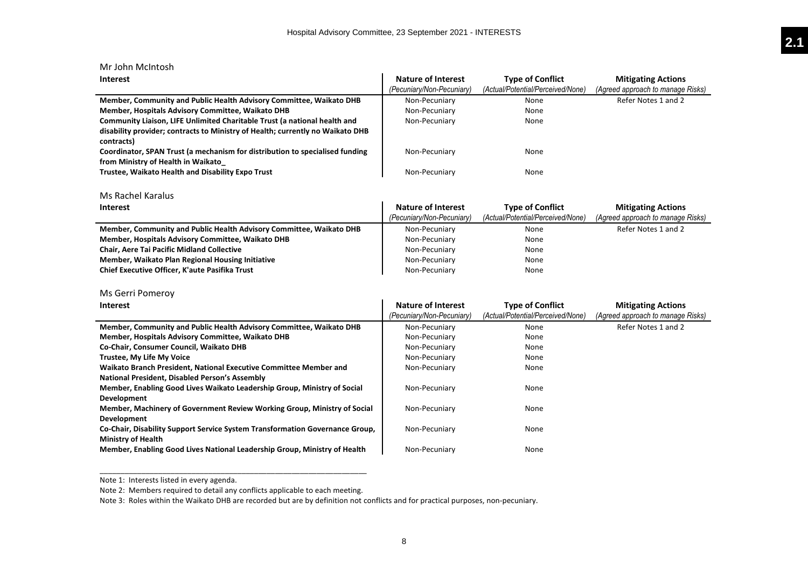| Mr John McIntosh                                                               |                           |                                   |                                   |
|--------------------------------------------------------------------------------|---------------------------|-----------------------------------|-----------------------------------|
| <b>Interest</b>                                                                | <b>Nature of Interest</b> | <b>Type of Conflict</b>           | <b>Mitigating Actions</b>         |
|                                                                                | (Pecuniary/Non-Pecuniary) | (Actual/Potential/Perceived/None) | (Agreed approach to manage Risks) |
| Member, Community and Public Health Advisory Committee, Waikato DHB            | Non-Pecuniary             | None                              | Refer Notes 1 and 2               |
| Member, Hospitals Advisory Committee, Waikato DHB                              | Non-Pecuniary             | None                              |                                   |
| Community Liaison, LIFE Unlimited Charitable Trust (a national health and      | Non-Pecuniary             | None                              |                                   |
| disability provider; contracts to Ministry of Health; currently no Waikato DHB |                           |                                   |                                   |
| contracts)                                                                     |                           |                                   |                                   |
| Coordinator, SPAN Trust (a mechanism for distribution to specialised funding   | Non-Pecuniary             | None                              |                                   |
| from Ministry of Health in Waikato                                             |                           |                                   |                                   |
| Trustee, Waikato Health and Disability Expo Trust                              | Non-Pecuniary             | None                              |                                   |
|                                                                                |                           |                                   |                                   |
| Ms Rachel Karalus                                                              |                           |                                   |                                   |
| <b>Interest</b>                                                                | <b>Nature of Interest</b> | <b>Type of Conflict</b>           | <b>Mitigating Actions</b>         |
|                                                                                | (Pecuniary/Non-Pecuniary) | (Actual/Potential/Perceived/None) | (Agreed approach to manage Risks) |
| Member, Community and Public Health Advisory Committee, Waikato DHB            | Non-Pecuniary             | None                              | Refer Notes 1 and 2               |
| Member, Hospitals Advisory Committee, Waikato DHB                              | Non-Pecuniary             | None                              |                                   |
| <b>Chair, Aere Tai Pacific Midland Collective</b>                              | Non-Pecuniary             | None                              |                                   |
| Member, Waikato Plan Regional Housing Initiative                               | Non-Pecuniary             | None                              |                                   |
| Chief Executive Officer, K'aute Pasifika Trust                                 | Non-Pecuniary             | None                              |                                   |
|                                                                                |                           |                                   |                                   |
| Ms Gerri Pomeroy                                                               |                           |                                   |                                   |
| <b>Interest</b>                                                                | <b>Nature of Interest</b> | <b>Type of Conflict</b>           | <b>Mitigating Actions</b>         |
|                                                                                | (Pecuniary/Non-Pecuniary) | (Actual/Potential/Perceived/None) | (Agreed approach to manage Risks) |
| Member, Community and Public Health Advisory Committee, Waikato DHB            | Non-Pecuniary             | None                              | Refer Notes 1 and 2               |
| Member, Hospitals Advisory Committee, Waikato DHB                              | Non-Pecuniary             | None                              |                                   |
| Co-Chair, Consumer Council, Waikato DHB                                        | Non-Pecuniary             | None                              |                                   |
| Trustee, My Life My Voice                                                      | Non-Pecuniary             | None                              |                                   |
| Waikato Branch President, National Executive Committee Member and              | Non-Pecuniary             | None                              |                                   |
| National President, Disabled Person's Assembly                                 |                           |                                   |                                   |
| Member, Enabling Good Lives Waikato Leadership Group, Ministry of Social       | Non-Pecuniary             | None                              |                                   |
| Development                                                                    |                           |                                   |                                   |
| Member, Machinery of Government Review Working Group, Ministry of Social       | Non-Pecuniary             | None                              |                                   |
| <b>Development</b>                                                             |                           |                                   |                                   |

**Co-Chair, Disability Support Service System Transformation Governance Group, Ministry of Health Member, Enabling Good Lives National Leadership Group, Ministry of Health**

Note 1: Interests listed in every agenda.

Note 2: Members required to detail any conflicts applicable to each meeting.

\_\_\_\_\_\_\_\_\_\_\_\_\_\_\_\_\_\_\_\_\_\_\_\_\_\_\_\_\_\_\_\_\_\_\_\_\_\_\_\_\_\_\_\_\_\_\_\_\_\_\_\_\_\_\_\_\_\_\_\_\_\_\_\_

Note 3: Roles within the Waikato DHB are recorded but are by definition not conflicts and for practical purposes, non-pecuniary.

Non-Pecuniary

None

None

Non-Pecuniary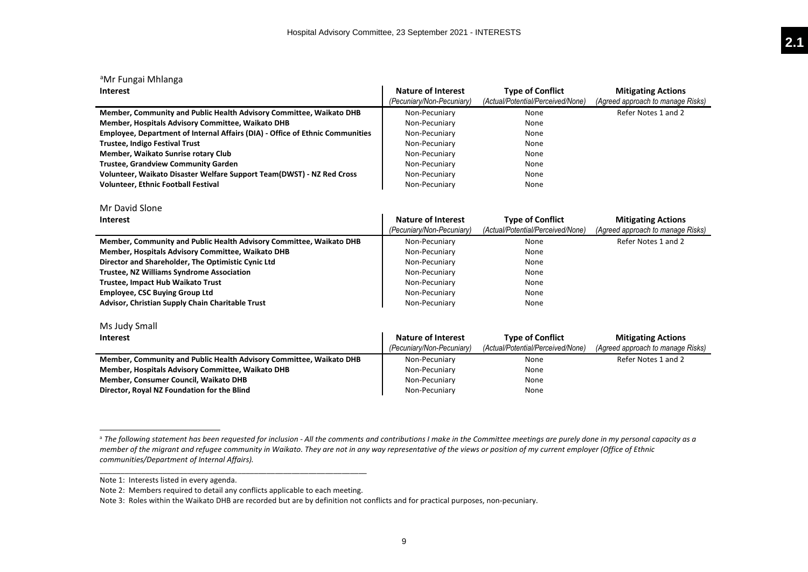| <sup>a</sup> Mr Fungai Mhlanga                                                |                           |                                   |                                   |
|-------------------------------------------------------------------------------|---------------------------|-----------------------------------|-----------------------------------|
| <b>Interest</b>                                                               | <b>Nature of Interest</b> | <b>Type of Conflict</b>           | <b>Mitigating Actions</b>         |
|                                                                               | (Pecuniary/Non-Pecuniary) | (Actual/Potential/Perceived/None) | (Agreed approach to manage Risks) |
| Member, Community and Public Health Advisory Committee, Waikato DHB           | Non-Pecuniary             | None                              | Refer Notes 1 and 2               |
| Member, Hospitals Advisory Committee, Waikato DHB                             | Non-Pecuniary             | None                              |                                   |
| Employee, Department of Internal Affairs (DIA) - Office of Ethnic Communities | Non-Pecuniary             | None                              |                                   |
| <b>Trustee, Indigo Festival Trust</b>                                         | Non-Pecuniary             | None                              |                                   |
| Member, Waikato Sunrise rotary Club                                           | Non-Pecuniary             | None                              |                                   |
| <b>Trustee, Grandview Community Garden</b>                                    | Non-Pecuniary             | None                              |                                   |
| Volunteer, Waikato Disaster Welfare Support Team(DWST) - NZ Red Cross         | Non-Pecuniary             | None                              |                                   |
| <b>Volunteer, Ethnic Football Festival</b>                                    | Non-Pecuniary             | None                              |                                   |
| Mr David Slone                                                                |                           |                                   |                                   |
| <b>Interest</b>                                                               | <b>Nature of Interest</b> | <b>Type of Conflict</b>           | <b>Mitigating Actions</b>         |
|                                                                               | (Pecuniary/Non-Pecuniary) | (Actual/Potential/Perceived/None) | (Agreed approach to manage Risks) |
| Member, Community and Public Health Advisory Committee, Waikato DHB           | Non-Pecuniary             | None                              | Refer Notes 1 and 2               |
| Member, Hospitals Advisory Committee, Waikato DHB                             | Non-Pecuniary             | None                              |                                   |
| Director and Shareholder, The Optimistic Cynic Ltd                            | Non-Pecuniary             | None                              |                                   |
| <b>Trustee, NZ Williams Syndrome Association</b>                              | Non-Pecuniary             | None                              |                                   |
| Trustee, Impact Hub Waikato Trust                                             | Non-Pecuniary             | None                              |                                   |
| <b>Employee, CSC Buying Group Ltd</b>                                         | Non-Pecuniary             | None                              |                                   |
| Advisor, Christian Supply Chain Charitable Trust                              | Non-Pecuniary             | None                              |                                   |
| Ms Judy Small                                                                 |                           |                                   |                                   |
| <b>Interest</b>                                                               | <b>Nature of Interest</b> | <b>Type of Conflict</b>           | <b>Mitigating Actions</b>         |
|                                                                               | (Pecuniary/Non-Pecuniary) | (Actual/Potential/Perceived/None) | (Agreed approach to manage Risks) |
| Member, Community and Public Health Advisory Committee, Waikato DHB           | Non-Pecuniary             | None                              | Refer Notes 1 and 2               |
| Member, Hospitals Advisory Committee, Waikato DHB                             | Non-Pecuniary             | None                              |                                   |
| Member, Consumer Council, Waikato DHB                                         | Non-Pecuniary             | None                              |                                   |
| Director, Royal NZ Foundation for the Blind                                   | Non-Pecuniary             | None                              |                                   |
|                                                                               |                           |                                   |                                   |

 $\overline{a}$ 

\_\_\_\_\_\_\_\_\_\_\_\_\_\_\_\_\_\_\_\_\_\_\_\_\_\_\_\_\_\_\_\_\_\_\_\_\_\_\_\_\_\_\_\_\_\_\_\_\_\_\_\_\_\_\_\_\_\_\_\_\_\_\_\_

<sup>a</sup> *The following statement has been requested for inclusion - All the comments and contributions I make in the Committee meetings are purely done in my personal capacity as a member of the migrant and refugee community in Waikato. They are not in any way representative of the views or position of my current employer (Office of Ethnic communities/Department of Internal Affairs).*

Note 1: Interests listed in every agenda.

Note 2: Members required to detail any conflicts applicable to each meeting.

Note 3: Roles within the Waikato DHB are recorded but are by definition not conflicts and for practical purposes, non-pecuniary.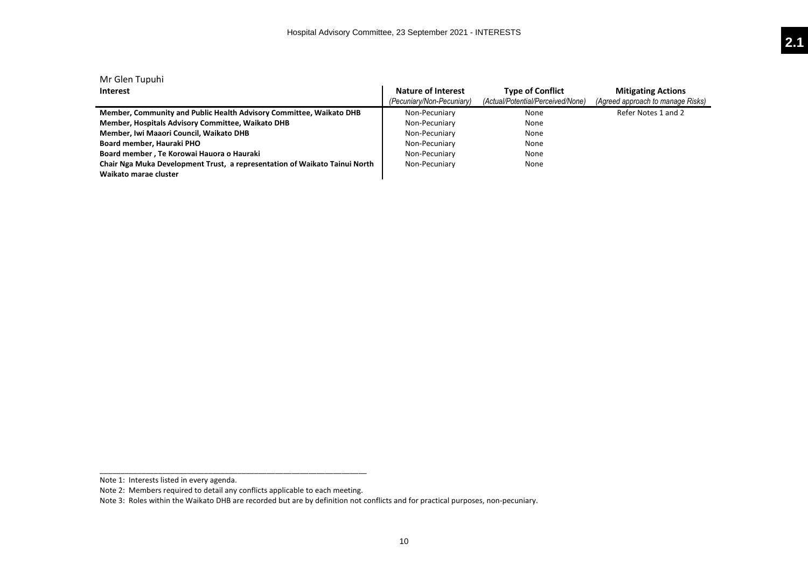| Mr Glen Tupuhi                                                             |                           |                                   |                                   |
|----------------------------------------------------------------------------|---------------------------|-----------------------------------|-----------------------------------|
| Interest                                                                   | Nature of Interest        | <b>Type of Conflict</b>           | <b>Mitigating Actions</b>         |
|                                                                            | (Pecuniary/Non-Pecuniary) | (Actual/Potential/Perceived/None) | (Agreed approach to manage Risks) |
| Member, Community and Public Health Advisory Committee, Waikato DHB        | Non-Pecuniary             | None                              | Refer Notes 1 and 2               |
| Member, Hospitals Advisory Committee, Waikato DHB                          | Non-Pecuniary             | None                              |                                   |
| Member, Iwi Maaori Council, Waikato DHB                                    | Non-Pecuniary             | None                              |                                   |
| Board member, Hauraki PHO                                                  | Non-Pecuniary             | None                              |                                   |
| Board member, Te Korowai Hauora o Hauraki                                  | Non-Pecuniary             | None                              |                                   |
| Chair Nga Muka Development Trust, a representation of Waikato Tainui North | Non-Pecuniary             | None                              |                                   |
| Waikato marae cluster                                                      |                           |                                   |                                   |

Note 1: Interests listed in every agenda.

\_\_\_\_\_\_\_\_\_\_\_\_\_\_\_\_\_\_\_\_\_\_\_\_\_\_\_\_\_\_\_\_\_\_\_\_\_\_\_\_\_\_\_\_\_\_\_\_\_\_\_\_\_\_\_\_\_\_\_\_\_\_\_\_

Note 2: Members required to detail any conflicts applicable to each meeting.

Note 3: Roles within the Waikato DHB are recorded but are by definition not conflicts and for practical purposes, non-pecuniary.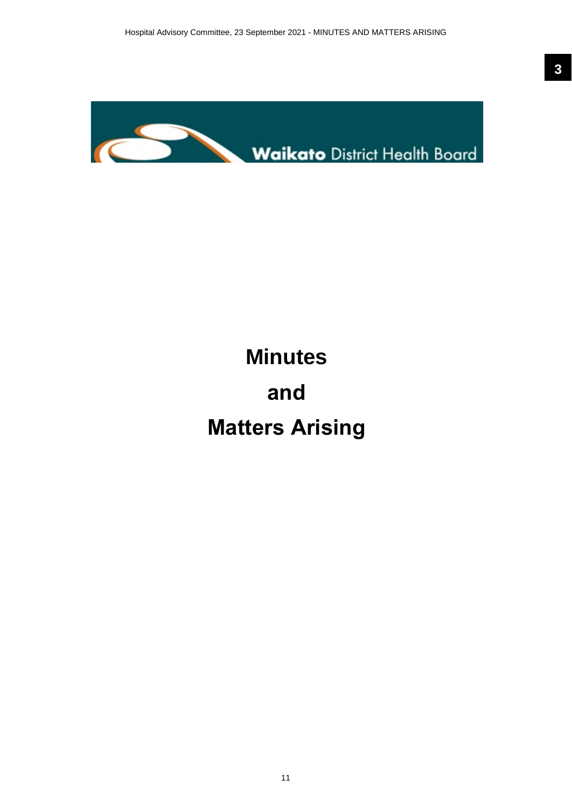<span id="page-10-0"></span>

# **Minutes**

# **and**

# **Matters Arising**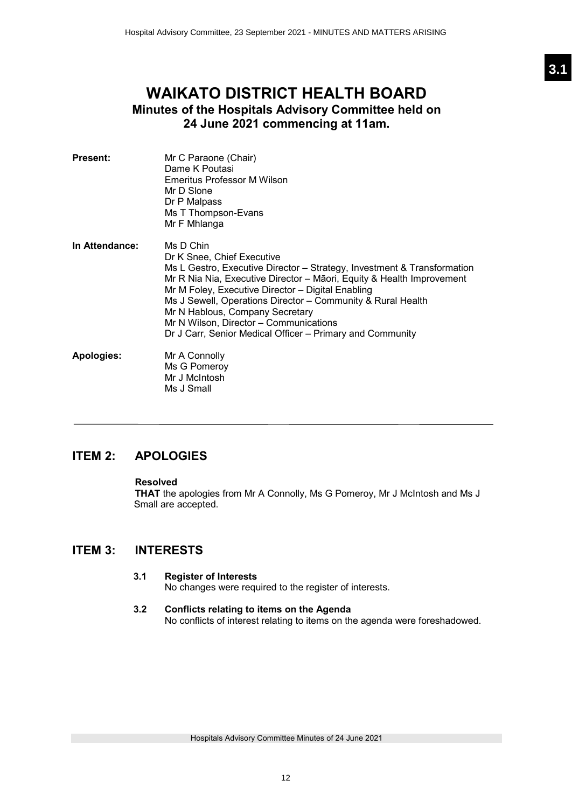# <span id="page-11-0"></span>**WAIKATO DISTRICT HEALTH BOARD Minutes of the Hospitals Advisory Committee held on 24 June 2021 commencing at 11am.**

| <b>Present:</b> | Mr C Paraone (Chair)<br>Dame K Poutasi<br>Emeritus Professor M Wilson<br>Mr D Slone<br>Dr P Malpass<br>Ms T Thompson-Evans<br>Mr F Mhlanga                                                                                                                                                                                                                                                                                                                |
|-----------------|-----------------------------------------------------------------------------------------------------------------------------------------------------------------------------------------------------------------------------------------------------------------------------------------------------------------------------------------------------------------------------------------------------------------------------------------------------------|
| In Attendance:  | Ms D Chin<br>Dr K Snee, Chief Executive<br>Ms L Gestro, Executive Director – Strategy, Investment & Transformation<br>Mr R Nia Nia, Executive Director – Māori, Equity & Health Improvement<br>Mr M Foley, Executive Director - Digital Enabling<br>Ms J Sewell, Operations Director - Community & Rural Health<br>Mr N Hablous, Company Secretary<br>Mr N Wilson, Director – Communications<br>Dr J Carr, Senior Medical Officer – Primary and Community |
| Apologies:      | Mr A Connolly<br>Ms G Pomeroy<br>Mr J McIntosh<br>Ms J Small                                                                                                                                                                                                                                                                                                                                                                                              |

# **ITEM 2: APOLOGIES**

# **Resolved**

**THAT** the apologies from Mr A Connolly, Ms G Pomeroy, Mr J McIntosh and Ms J Small are accepted.

# **ITEM 3: INTERESTS**

# **3.1 Register of Interests**

No changes were required to the register of interests.

## **3.2 Conflicts relating to items on the Agenda** No conflicts of interest relating to items on the agenda were foreshadowed.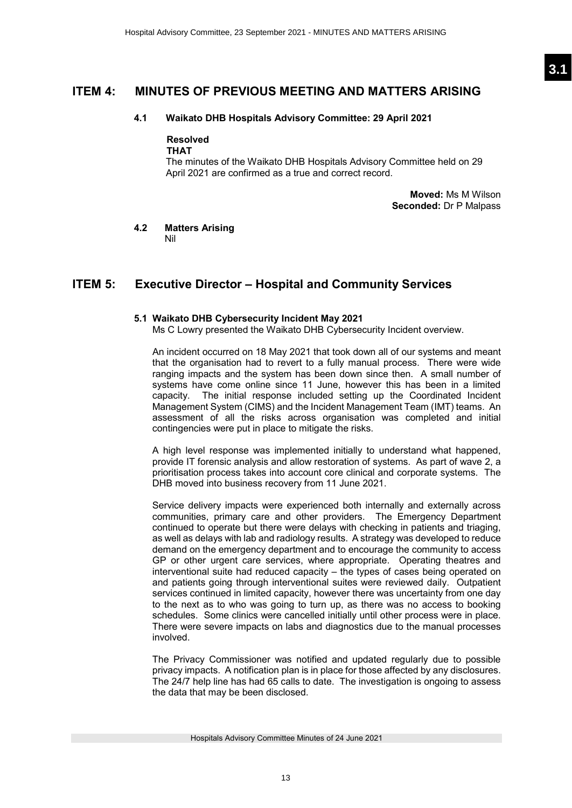# **ITEM 4: MINUTES OF PREVIOUS MEETING AND MATTERS ARISING**

### **4.1 Waikato DHB Hospitals Advisory Committee: 29 April 2021**

## **Resolved**

**THAT**

The minutes of the Waikato DHB Hospitals Advisory Committee held on 29 April 2021 are confirmed as a true and correct record.

> **Moved:** Ms M Wilson **Seconded:** Dr P Malpass

#### **4.2 Matters Arising**  Nil

# **ITEM 5: Executive Director – Hospital and Community Services**

## **5.1 Waikato DHB Cybersecurity Incident May 2021**

Ms C Lowry presented the Waikato DHB Cybersecurity Incident overview.

An incident occurred on 18 May 2021 that took down all of our systems and meant that the organisation had to revert to a fully manual process. There were wide ranging impacts and the system has been down since then. A small number of systems have come online since 11 June, however this has been in a limited capacity. The initial response included setting up the Coordinated Incident Management System (CIMS) and the Incident Management Team (IMT) teams. An assessment of all the risks across organisation was completed and initial contingencies were put in place to mitigate the risks.

A high level response was implemented initially to understand what happened, provide IT forensic analysis and allow restoration of systems. As part of wave 2, a prioritisation process takes into account core clinical and corporate systems. The DHB moved into business recovery from 11 June 2021.

Service delivery impacts were experienced both internally and externally across communities, primary care and other providers. The Emergency Department continued to operate but there were delays with checking in patients and triaging, as well as delays with lab and radiology results. A strategy was developed to reduce demand on the emergency department and to encourage the community to access GP or other urgent care services, where appropriate. Operating theatres and interventional suite had reduced capacity – the types of cases being operated on and patients going through interventional suites were reviewed daily. Outpatient services continued in limited capacity, however there was uncertainty from one day to the next as to who was going to turn up, as there was no access to booking schedules. Some clinics were cancelled initially until other process were in place. There were severe impacts on labs and diagnostics due to the manual processes involved.

The Privacy Commissioner was notified and updated regularly due to possible privacy impacts. A notification plan is in place for those affected by any disclosures. The 24/7 help line has had 65 calls to date. The investigation is ongoing to assess the data that may be been disclosed.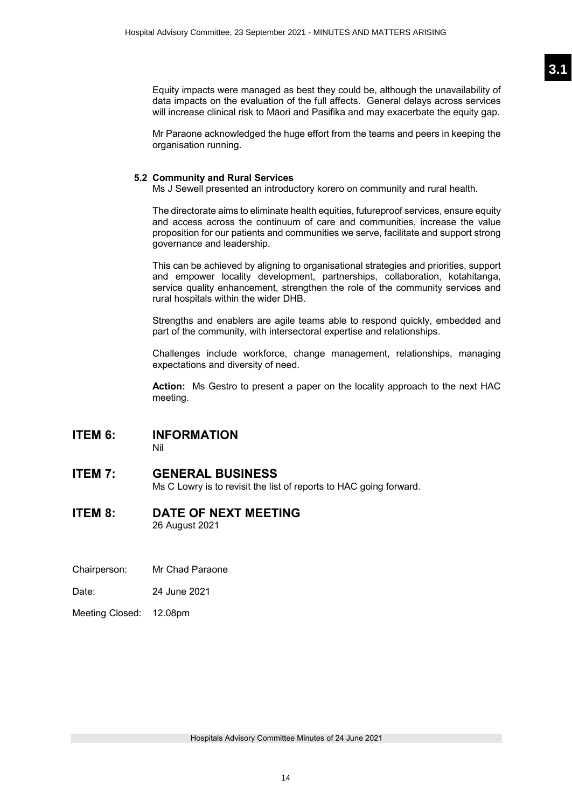Equity impacts were managed as best they could be, although the unavailability of data impacts on the evaluation of the full affects. General delays across services will increase clinical risk to Māori and Pasifika and may exacerbate the equity gap.

Mr Paraone acknowledged the huge effort from the teams and peers in keeping the organisation running.

### **5.2 Community and Rural Services**

Ms J Sewell presented an introductory korero on community and rural health.

The directorate aims to eliminate health equities, futureproof services, ensure equity and access across the continuum of care and communities, increase the value proposition for our patients and communities we serve, facilitate and support strong governance and leadership.

This can be achieved by aligning to organisational strategies and priorities, support and empower locality development, partnerships, collaboration, kotahitanga, service quality enhancement, strengthen the role of the community services and rural hospitals within the wider DHB.

Strengths and enablers are agile teams able to respond quickly, embedded and part of the community, with intersectoral expertise and relationships.

Challenges include workforce, change management, relationships, managing expectations and diversity of need.

**Action:** Ms Gestro to present a paper on the locality approach to the next HAC meeting.

# **ITEM 6: INFORMATION**

Nil

# **ITEM 7: GENERAL BUSINESS**

Ms C Lowry is to revisit the list of reports to HAC going forward.

# **ITEM 8: DATE OF NEXT MEETING**

26 August 2021

- Chairperson: Mr Chad Paraone
- Date: 24 June 2021
- Meeting Closed: 12.08pm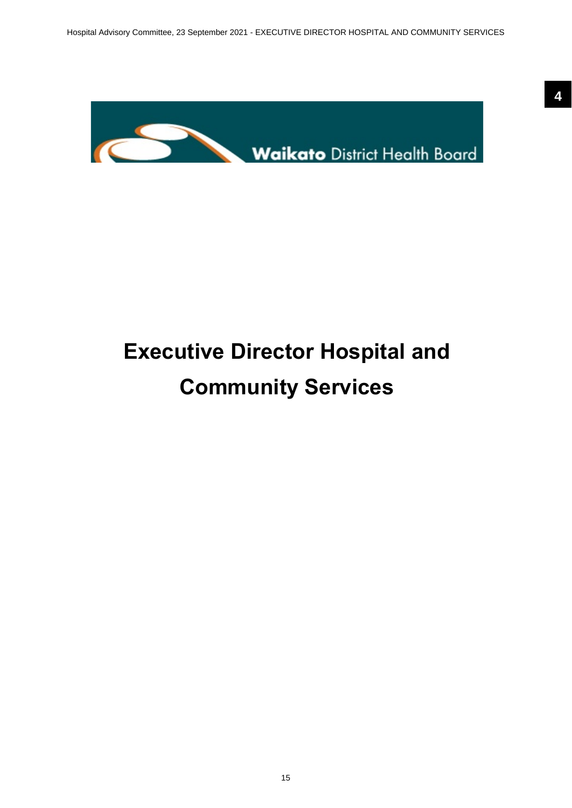<span id="page-14-0"></span>

# **Executive Director Hospital and Community Services**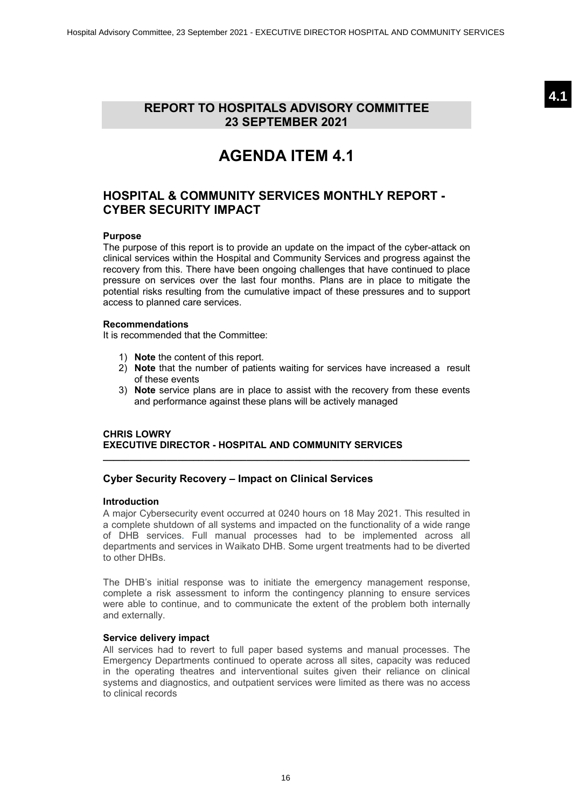**4.1**

# <span id="page-15-0"></span>**REPORT TO HOSPITALS ADVISORY COMMITTEE 23 SEPTEMBER 2021**

# **AGENDA ITEM 4.1**

# **HOSPITAL & COMMUNITY SERVICES MONTHLY REPORT - CYBER SECURITY IMPACT**

### **Purpose**

The purpose of this report is to provide an update on the impact of the cyber-attack on clinical services within the Hospital and Community Services and progress against the recovery from this. There have been ongoing challenges that have continued to place pressure on services over the last four months. Plans are in place to mitigate the potential risks resulting from the cumulative impact of these pressures and to support access to planned care services.

#### **Recommendations**

It is recommended that the Committee:

- 1) **Note** the content of this report.
- 2) **Note** that the number of patients waiting for services have increased a result of these events
- 3) **Note** service plans are in place to assist with the recovery from these events and performance against these plans will be actively managed

## **CHRIS LOWRY EXECUTIVE DIRECTOR - HOSPITAL AND COMMUNITY SERVICES**

# **Cyber Security Recovery – Impact on Clinical Services**

#### **Introduction**

A major Cybersecurity event occurred at 0240 hours on 18 May 2021. This resulted in a complete shutdown of all systems and impacted on the functionality of a wide range of DHB services. Full manual processes had to be implemented across all departments and services in Waikato DHB. Some urgent treatments had to be diverted to other DHBs.

**\_\_\_\_\_\_\_\_\_\_\_\_\_\_\_\_\_\_\_\_\_\_\_\_\_\_\_\_\_\_\_\_\_\_\_\_\_\_\_\_\_\_\_\_\_\_\_\_\_\_\_\_\_\_\_\_\_\_\_\_\_\_\_\_\_\_\_\_\_**

The DHB's initial response was to initiate the emergency management response, complete a risk assessment to inform the contingency planning to ensure services were able to continue, and to communicate the extent of the problem both internally and externally.

### **Service delivery impact**

All services had to revert to full paper based systems and manual processes. The Emergency Departments continued to operate across all sites, capacity was reduced in the operating theatres and interventional suites given their reliance on clinical systems and diagnostics, and outpatient services were limited as there was no access to clinical records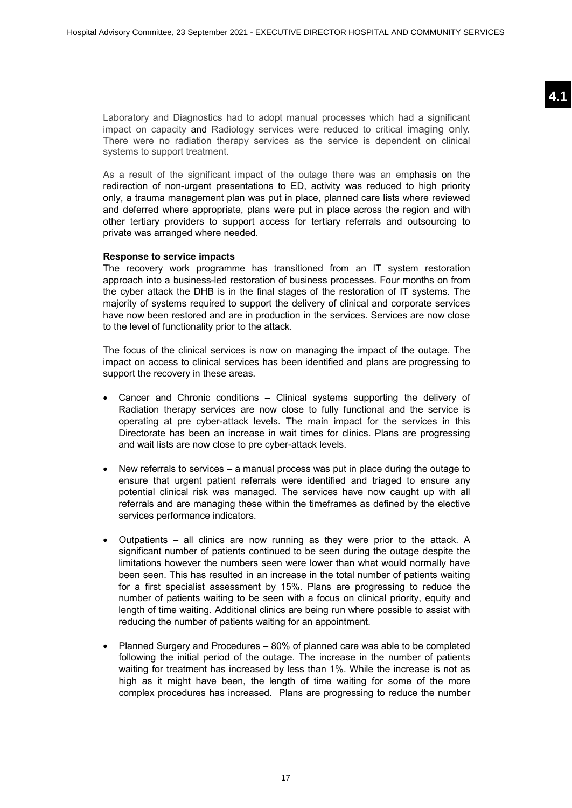Laboratory and Diagnostics had to adopt manual processes which had a significant impact on capacity and Radiology services were reduced to critical imaging only. There were no radiation therapy services as the service is dependent on clinical systems to support treatment.

As a result of the significant impact of the outage there was an emphasis on the redirection of non-urgent presentations to ED, activity was reduced to high priority only, a trauma management plan was put in place, planned care lists where reviewed and deferred where appropriate, plans were put in place across the region and with other tertiary providers to support access for tertiary referrals and outsourcing to private was arranged where needed.

#### **Response to service impacts**

The recovery work programme has transitioned from an IT system restoration approach into a business-led restoration of business processes. Four months on from the cyber attack the DHB is in the final stages of the restoration of IT systems. The majority of systems required to support the delivery of clinical and corporate services have now been restored and are in production in the services. Services are now close to the level of functionality prior to the attack.

The focus of the clinical services is now on managing the impact of the outage. The impact on access to clinical services has been identified and plans are progressing to support the recovery in these areas.

- Cancer and Chronic conditions Clinical systems supporting the delivery of Radiation therapy services are now close to fully functional and the service is operating at pre cyber-attack levels. The main impact for the services in this Directorate has been an increase in wait times for clinics. Plans are progressing and wait lists are now close to pre cyber-attack levels.
- New referrals to services a manual process was put in place during the outage to ensure that urgent patient referrals were identified and triaged to ensure any potential clinical risk was managed. The services have now caught up with all referrals and are managing these within the timeframes as defined by the elective services performance indicators.
- Outpatients all clinics are now running as they were prior to the attack. A significant number of patients continued to be seen during the outage despite the limitations however the numbers seen were lower than what would normally have been seen. This has resulted in an increase in the total number of patients waiting for a first specialist assessment by 15%. Plans are progressing to reduce the number of patients waiting to be seen with a focus on clinical priority, equity and length of time waiting. Additional clinics are being run where possible to assist with reducing the number of patients waiting for an appointment.
- Planned Surgery and Procedures 80% of planned care was able to be completed following the initial period of the outage. The increase in the number of patients waiting for treatment has increased by less than 1%. While the increase is not as high as it might have been, the length of time waiting for some of the more complex procedures has increased. Plans are progressing to reduce the number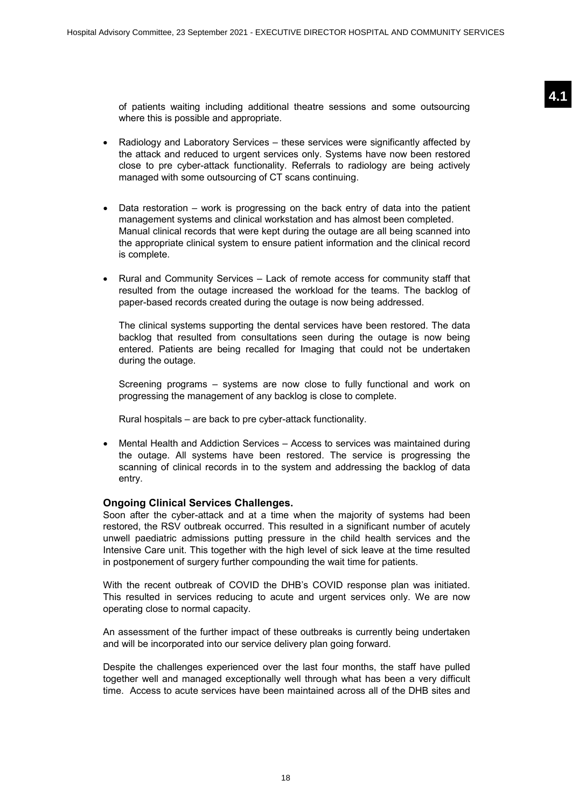of patients waiting including additional theatre sessions and some outsourcing where this is possible and appropriate.

- Radiology and Laboratory Services these services were significantly affected by the attack and reduced to urgent services only. Systems have now been restored close to pre cyber-attack functionality. Referrals to radiology are being actively managed with some outsourcing of CT scans continuing.
- Data restoration work is progressing on the back entry of data into the patient management systems and clinical workstation and has almost been completed. Manual clinical records that were kept during the outage are all being scanned into the appropriate clinical system to ensure patient information and the clinical record is complete.
- Rural and Community Services Lack of remote access for community staff that resulted from the outage increased the workload for the teams. The backlog of paper-based records created during the outage is now being addressed.

The clinical systems supporting the dental services have been restored. The data backlog that resulted from consultations seen during the outage is now being entered. Patients are being recalled for Imaging that could not be undertaken during the outage.

Screening programs – systems are now close to fully functional and work on progressing the management of any backlog is close to complete.

Rural hospitals – are back to pre cyber-attack functionality.

• Mental Health and Addiction Services – Access to services was maintained during the outage. All systems have been restored. The service is progressing the scanning of clinical records in to the system and addressing the backlog of data entry.

#### **Ongoing Clinical Services Challenges.**

Soon after the cyber-attack and at a time when the majority of systems had been restored, the RSV outbreak occurred. This resulted in a significant number of acutely unwell paediatric admissions putting pressure in the child health services and the Intensive Care unit. This together with the high level of sick leave at the time resulted in postponement of surgery further compounding the wait time for patients.

With the recent outbreak of COVID the DHB's COVID response plan was initiated. This resulted in services reducing to acute and urgent services only. We are now operating close to normal capacity.

An assessment of the further impact of these outbreaks is currently being undertaken and will be incorporated into our service delivery plan going forward.

Despite the challenges experienced over the last four months, the staff have pulled together well and managed exceptionally well through what has been a very difficult time. Access to acute services have been maintained across all of the DHB sites and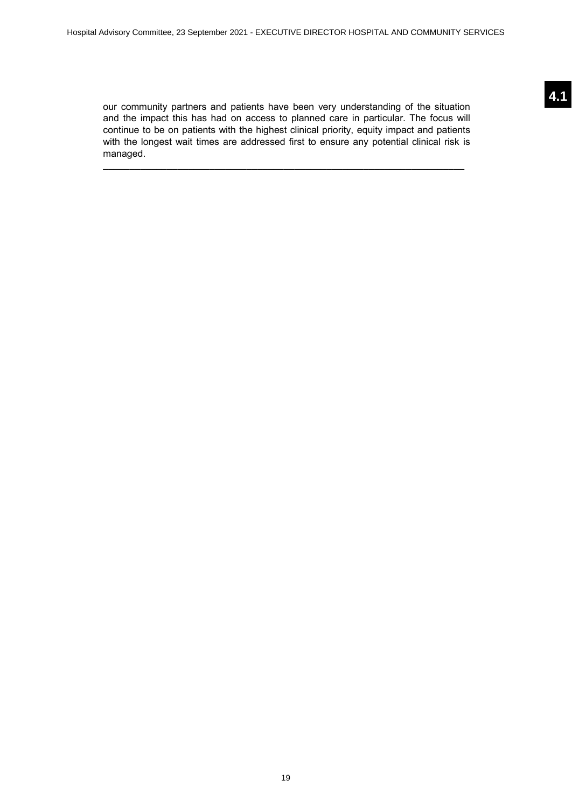our community partners and patients have been very understanding of the situation and the impact this has had on access to planned care in particular. The focus will continue to be on patients with the highest clinical priority, equity impact and patients with the longest wait times are addressed first to ensure any potential clinical risk is managed.

**\_\_\_\_\_\_\_\_\_\_\_\_\_\_\_\_\_\_\_\_\_\_\_\_\_\_\_\_\_\_\_\_\_\_\_\_\_\_\_\_\_\_\_\_\_\_\_\_\_\_\_\_\_\_\_\_\_\_\_\_\_\_\_\_\_\_\_\_**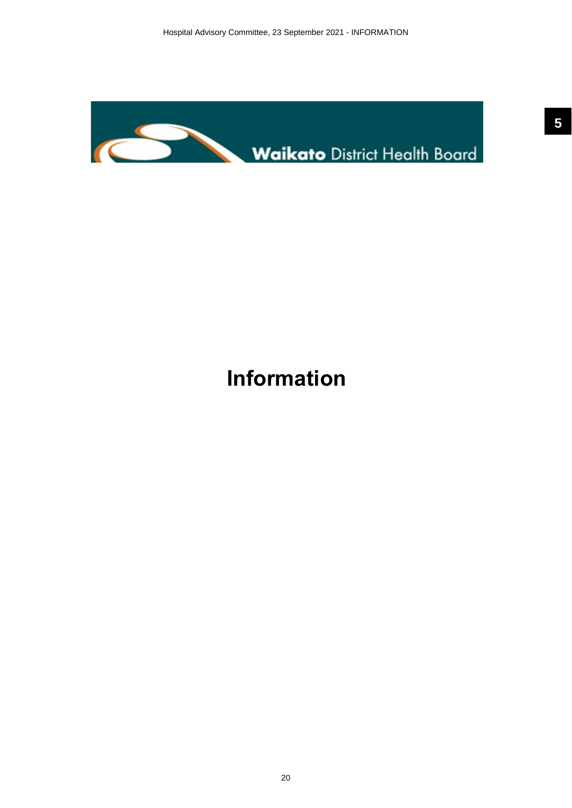<span id="page-19-0"></span>

# **Information**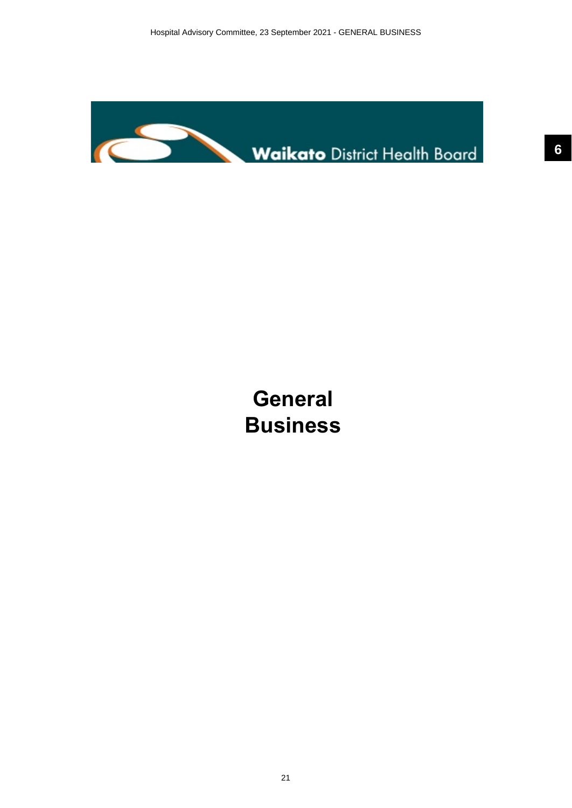<span id="page-20-0"></span>

# **General Business**